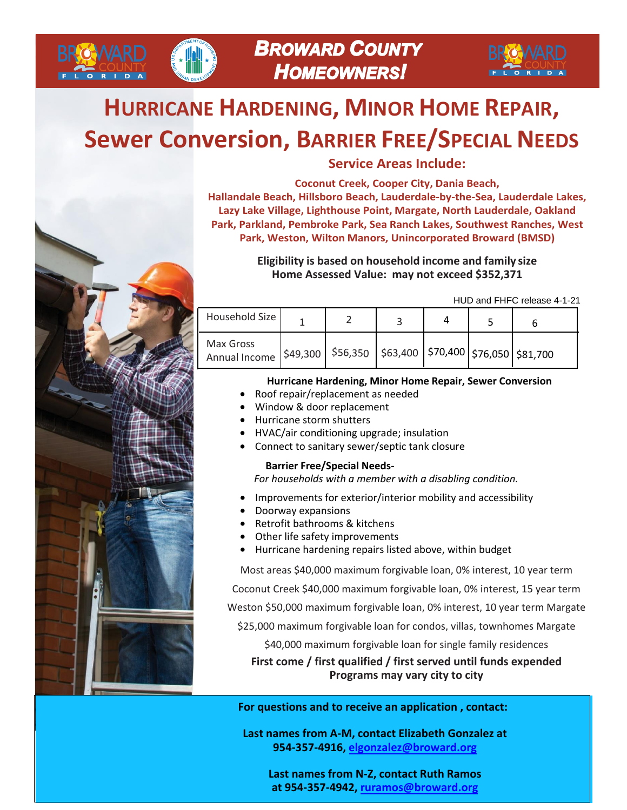

# **HURRICANE HARDENING, MINOR HOME REPAIR, Sewer Conversion, BARRIER FREE/SPECIAL NEEDS**



**BROWARD** 

**Service Areas Include:** 

**Coconut Creek, Cooper City, Dania Beach, Hallandale Beach, Hillsboro Beach, Lauderdale-by-the-Sea, Lauderdale Lakes, Lazy Lake Village, Lighthouse Point, Margate, North Lauderdale, Oakland Park, Parkland, Pembroke Park, Sea Ranch Lakes, Southwest Ranches, West Park, Weston, Wilton Manors, Unincorporated Broward (BMSD)**

> **Eligibility is based on household income and family size Home Assessed Value: may not exceed \$352,371**

> > HUD and FHFC release 4-1-21

| Household Size                                                                            |  |  |  |
|-------------------------------------------------------------------------------------------|--|--|--|
| Max Gross<br>Annual Income S49,300   \$56,350   \$63,400   \$70,400   \$76,050   \$81,700 |  |  |  |

#### **Hurricane Hardening, Minor Home Repair, Sewer Conversion**

- Roof repair/replacement as needed
- Window & door replacement
- Hurricane storm shutters
- HVAC/air conditioning upgrade; insulation
- Connect to sanitary sewer/septic tank closure

#### **Barrier Free/Special Needs-**

*For households with a member with a disabling condition.*

- Improvements for exterior/interior mobility and accessibility
- Doorway expansions
- Retrofit bathrooms & kitchens
- Other life safety improvements
- Hurricane hardening repairs listed above, within budget

Most areas \$40,000 maximum forgivable loan, 0% interest, 10 year term

Coconut Creek \$40,000 maximum forgivable loan, 0% interest, 15 year term

Weston \$50,000 maximum forgivable loan, 0% interest, 10 year term Margate

\$25,000 maximum forgivable loan for condos, villas, townhomes Margate

\$40,000 maximum forgivable loan for single family residences

**First come / first qualified / first served until funds expended Programs may vary city to city**

**For questi[ons and to receive an appli](mailto:elgonzalez@broward.org)cation , contact:** 

**Last names from A-M, contact Elizabeth Gonzalez at 954-[357-4916, elgonzalez@b](mailto:ruramos@broward.org)roward.org**

**Last names from N-Z, contact Ruth Ramos at 954-357-4942, ruramos@broward.org**